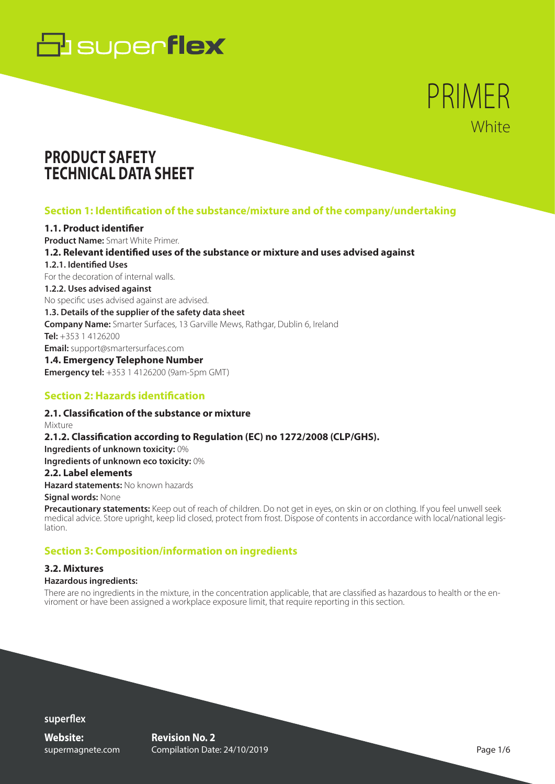

# PRIMER **White**

# **PRODUCT SAFETY TECHNICAL DATA SHEET**

# **Section 1: Identification of the substance/mixture and of the company/undertaking**

### **1.1. Product identifier**

**Product Name:** Smart White Primer. **1.2. Relevant identified uses of the substance or mixture and uses advised against 1.2.1. Identified Uses** For the decoration of internal walls. **1.2.2. Uses advised against** No specific uses advised against are advised. **1.3. Details of the supplier of the safety data sheet Company Name:** Smarter Surfaces, 13 Garville Mews, Rathgar, Dublin 6, Ireland **Tel:** +353 1 4126200 **Email:** support@smartersurfaces.com **1.4. Emergency Telephone Number Emergency tel:** +353 1 4126200 (9am-5pm GMT)

# **Section 2: Hazards identification**

**2.1. Classification of the substance or mixture** Mixture **2.1.2. Classification according to Regulation (EC) no 1272/2008 (CLP/GHS). Ingredients of unknown toxicity:** 0% **Ingredients of unknown eco toxicity:** 0% **2.2. Label elements Hazard statements:** No known hazards

#### **Signal words:** None

**Precautionary statements:** Keep out of reach of children. Do not get in eyes, on skin or on clothing. If you feel unwell seek medical advice. Store upright, keep lid closed, protect from frost. Dispose of contents in accordance with local/national legislation.

# **Section 3: Composition/information on ingredients**

#### **3.2. Mixtures**

### **Hazardous ingredients:**

There are no ingredients in the mixture, in the concentration applicable, that are classified as hazardous to health or the en-<br>viroment or have been assigned a workplace exposure limit, that require reporting in this sect

**superflex**

**Website:** supermagnete.com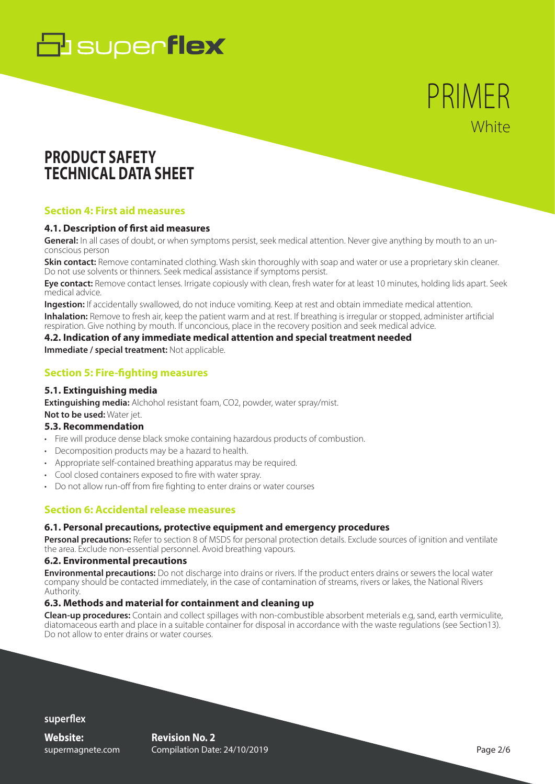# **B** superflex

# PRIMER **White**

# **PRODUCT SAFETY TECHNICAL DATA SHEET**

### **Section 4: First aid measures**

### **4.1. Description of first aid measures**

**General:** In all cases of doubt, or when symptoms persist, seek medical attention. Never give anything by mouth to an unconscious person

**Skin contact:** Remove contaminated clothing. Wash skin thoroughly with soap and water or use a proprietary skin cleaner. Do not use solvents or thinners. Seek medical assistance if symptoms persist.

**Eye contact:** Remove contact lenses. Irrigate copiously with clean, fresh water for at least 10 minutes, holding lids apart. Seek medical advice.

**Ingestion:** If accidentally swallowed, do not induce vomiting. Keep at rest and obtain immediate medical attention.

**Inhalation:** Remove to fresh air, keep the patient warm and at rest. If breathing is irregular or stopped, administer artificial respiration. Give nothing by mouth. If unconcious, place in the recovery position and seek medical advice.

### **4.2. Indication of any immediate medical attention and special treatment needed**

**Immediate / special treatment: Not applicable.** 

### **Section 5: Fire-fighting measures**

#### **5.1. Extinguishing media**

**Extinguishing media:** Alchohol resistant foam, CO2, powder, water spray/mist. **Not to be used:** Water jet.

### **5.3. Recommendation**

- Fire will produce dense black smoke containing hazardous products of combustion.
- Decomposition products may be a hazard to health.
- Appropriate self-contained breathing apparatus may be required.
- Cool closed containers exposed to fire with water spray.
- Do not allow run-off from fire fighting to enter drains or water courses

# **Section 6: Accidental release measures**

### **6.1. Personal precautions, protective equipment and emergency procedures**

**Personal precautions:** Refer to section 8 of MSDS for personal protection details. Exclude sources of ignition and ventilate the area. Exclude non-essential personnel. Avoid breathing vapours.

#### **6.2. Environmental precautions**

**Environmental precautions:** Do not discharge into drains or rivers. If the product enters drains or sewers the local water company should be contacted immediately, in the case of contamination of streams, rivers or lakes, the National Rivers Authority.

### **6.3. Methods and material for containment and cleaning up**

**Clean-up procedures:** Contain and collect spillages with non-combustible absorbent meterials e.g, sand, earth vermiculite, diatomaceous earth and place in a suitable container for disposal in accordance with the waste regulations (see Section13). Do not allow to enter drains or water courses.

**superflex**

**Website:** supermagnete.com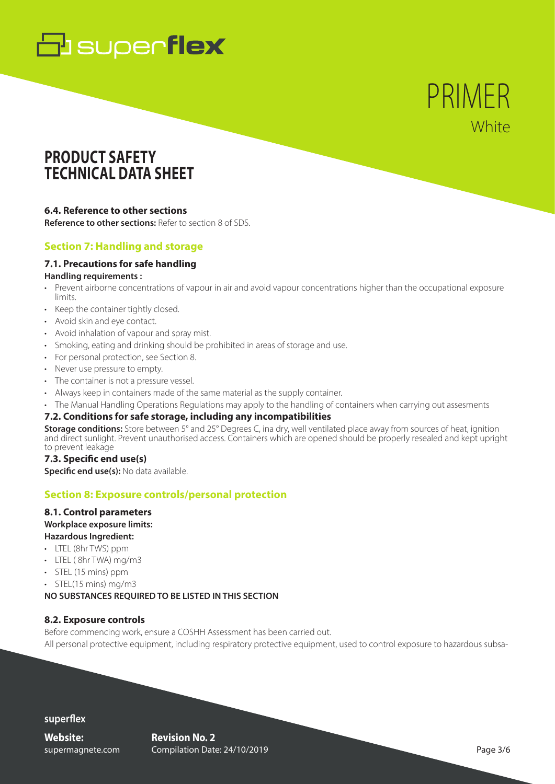# **B** superflex

PRIMER **White** 

# **PRODUCT SAFETY TECHNICAL DATA SHEET**

### **6.4. Reference to other sections**

**Reference to other sections:** Refer to section 8 of SDS.

# **Section 7: Handling and storage**

# **7.1. Precautions for safe handling**

#### **Handling requirements :**

- Prevent airborne concentrations of vapour in air and avoid vapour concentrations higher than the occupational exposure limits.
- Keep the container tightly closed.
- Avoid skin and eye contact.
- Avoid inhalation of vapour and spray mist.
- Smoking, eating and drinking should be prohibited in areas of storage and use.
- For personal protection, see Section 8.
- Never use pressure to empty.
- The container is not a pressure vessel.
- Always keep in containers made of the same material as the supply container.
- The Manual Handling Operations Regulations may apply to the handling of containers when carrying out assesments

### **7.2. Conditions for safe storage, including any incompatibilities**

**Storage conditions:** Store between 5° and 25° Degrees C, ina dry, well ventilated place away from sources of heat, ignition and direct sunlight. Prevent unauthorised access. Containers which are opened should be properly resealed and kept upright to prevent leakage

### **7.3. Specific end use(s)**

**Specific end use(s):** No data available.

### **Section 8: Exposure controls/personal protection**

# **8.1. Control parameters Workplace exposure limits:**

- **Hazardous Ingredient:**
- LTEL (8hr TWS) ppm
- LTEL ( 8hr TWA) mg/m3
- STEL (15 mins) ppm
- STEL(15 mins) mg/m3

### **NO SUBSTANCES REQUIRED TO BE LISTED IN THIS SECTION**

### **8.2. Exposure controls**

Before commencing work, ensure a COSHH Assessment has been carried out.

All personal protective equipment, including respiratory protective equipment, used to control exposure to hazardous subsa-

### **superflex**

**Website:** supermagnete.com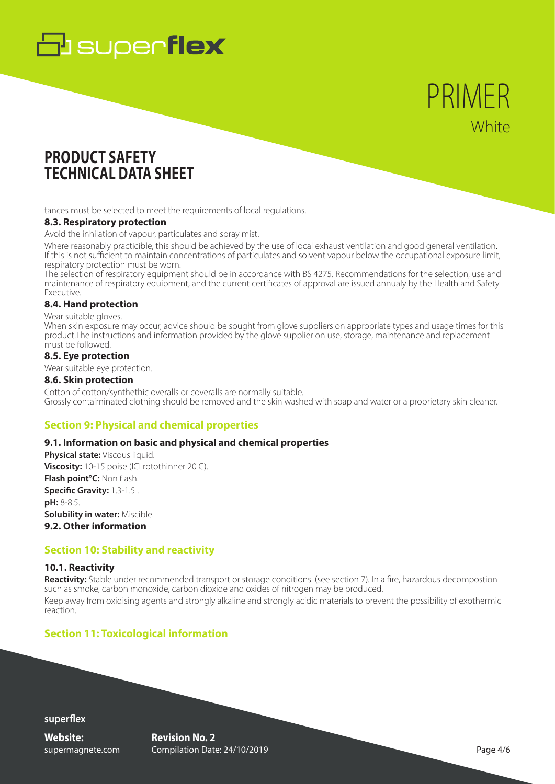# **B** superflex

# PRIMER **White**

# **PRODUCT SAFETY TECHNICAL DATA SHEET**

tances must be selected to meet the requirements of local regulations.

#### **8.3. Respiratory protection**

Avoid the inhilation of vapour, particulates and spray mist.

Where reasonably practicible, this should be achieved by the use of local exhaust ventilation and good general ventilation. If this is not sufficient to maintain concentrations of particulates and solvent vapour below the occupational exposure limit, respiratory protection must be worn.

The selection of respiratory equipment should be in accordance with BS 4275. Recommendations for the selection, use and maintenance of respiratory equipment, and the current certificates of approval are issued annualy by the Health and Safety Executive.

### **8.4. Hand protection**

Wear suitable gloves.

When skin exposure may occur, advice should be sought from glove suppliers on appropriate types and usage times for this product.The instructions and information provided by the glove supplier on use, storage, maintenance and replacement must be followed.

### **8.5. Eye protection**

Wear suitable eye protection.

#### **8.6. Skin protection**

Cotton of cotton/synthethic overalls or coveralls are normally suitable. Grossly contaiminated clothing should be removed and the skin washed with soap and water or a proprietary skin cleaner.

# **Section 9: Physical and chemical properties**

### **9.1. Information on basic and physical and chemical properties**

**Physical state:** Viscous liquid. **Viscosity:** 10-15 poise (ICI rotothinner 20 C). **Flash point°C:** Non flash. **Specific Gravity:** 1.3-1.5 . **pH:** 8-8.5. **Solubility in water:** Miscible. **9.2. Other information**

### **Section 10: Stability and reactivity**

### **10.1. Reactivity**

**Reactivity:** Stable under recommended transport or storage conditions. (see section 7). In a fire, hazardous decompostion such as smoke, carbon monoxide, carbon dioxide and oxides of nitrogen may be produced. Keep away from oxidising agents and strongly alkaline and strongly acidic materials to prevent the possibility of exothermic reaction.

# **Section 11: Toxicological information**

**superflex**

**Website:** supermagnete.com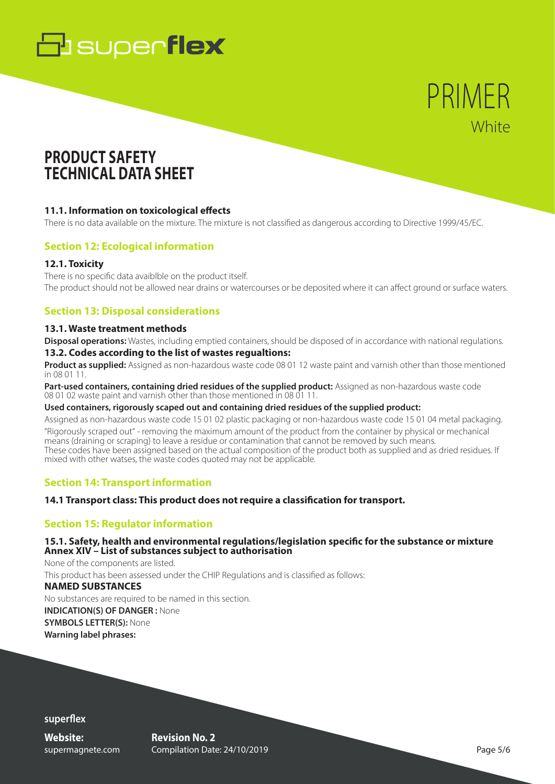

# PRIMER **White**

# **PRODUCT SAFETY TECHNICAL DATA SHEET**

### **11.1. Information on toxicological effects**

There is no data available on the mixture. The mixture is not classified as dangerous according to Directive 1999/45/EC.

### **Section 12: Ecological information**

### **12.1. Toxicity**

There is no specific data avaiblble on the product itself. The product should not be allowed near drains or watercourses or be deposited where it can affect ground or surface waters.

### **Section 13: Disposal considerations**

### **13.1. Waste treatment methods**

**Disposal operations:** Wastes, including emptied containers, should be disposed of in accordance with national regulations.

### **13.2. Codes according to the list of wastes regualtions:**

**Product as supplied:** Assigned as non-hazardous waste code 08 01 12 waste paint and varnish other than those mentioned in 08 01 11.

**Part-used containers, containing dried residues of the supplied product:** Assigned as non-hazardous waste code 08 01 02 waste paint and varnish other than those mentioned in 08 01 11.

#### **Used containers, rigorously scaped out and containing dried residues of the supplied product:**

Assigned as non-hazardous waste code 15 01 02 plastic packaging or non-hazardous waste code 15 01 04 metal packaging. "Rigorously scraped out" - removing the maximum amount of the product from the container by physical or mechanical means (draining or scraping) to leave a residue or contamination that cannot be removed by such means. These codes have been assigned based on the actual composition of the product both as supplied and as dried residues. If mixed with other watses, the waste codes quoted may not be applicable.

# **Section 14: Transport information**

### **14.1 Transport class: This product does not require a classification for transport.**

### **Section 15: Regulator information**

### **15.1. Safety, health and environmental regulations/legislation specific for the substance or mixture Annex XIV – List of substances subject to authorisation**

None of the components are listed. This product has been assessed under the CHIP Regulations and is classified as follows: **NAMED SUBSTANCES** No substances are required to be named in this section. **INDICATION(S) OF DANGER :** None **SYMBOLS LETTER(S):** None **Warning label phrases:**

**superflex**

**Website:** supermagnete.com